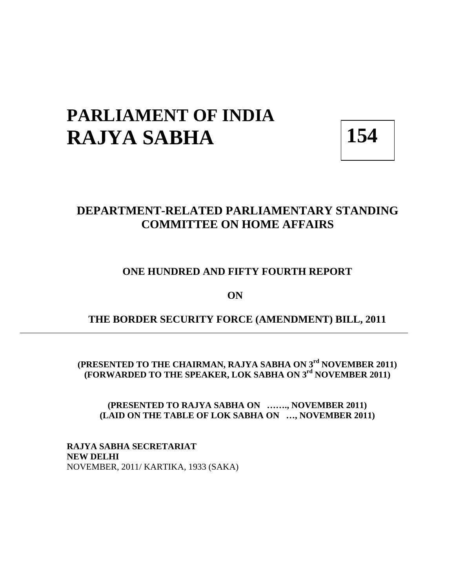## **PARLIAMENT OF INDIA RAJYA SABHA** 154

## **DEPARTMENT-RELATED PARLIAMENTARY STANDING COMMITTEE ON HOME AFFAIRS**

#### **ONE HUNDRED AND FIFTY FOURTH REPORT**

**ON** 

## **THE BORDER SECURITY FORCE (AMENDMENT) BILL, 2011**

**(PRESENTED TO THE CHAIRMAN, RAJYA SABHA ON 3rd NOVEMBER 2011) (FORWARDED TO THE SPEAKER, LOK SABHA ON 3rd NOVEMBER 2011)** 

**(PRESENTED TO RAJYA SABHA ON ……., NOVEMBER 2011) (LAID ON THE TABLE OF LOK SABHA ON …, NOVEMBER 2011)** 

**RAJYA SABHA SECRETARIAT NEW DELHI**  NOVEMBER, 2011/ KARTIKA, 1933 (SAKA)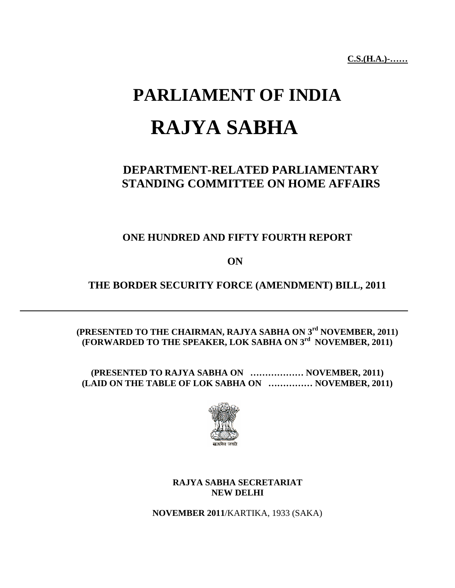**C.S.(H.A.)-……** 

# **PARLIAMENT OF INDIA RAJYA SABHA**

## **DEPARTMENT-RELATED PARLIAMENTARY STANDING COMMITTEE ON HOME AFFAIRS**

## **ONE HUNDRED AND FIFTY FOURTH REPORT**

**ON** 

## **THE BORDER SECURITY FORCE (AMENDMENT) BILL, 2011**

#### **(PRESENTED TO THE CHAIRMAN, RAJYA SABHA ON 3rd NOVEMBER, 2011) (FORWARDED TO THE SPEAKER, LOK SABHA ON 3rd NOVEMBER, 2011)**

**(PRESENTED TO RAJYA SABHA ON ……………… NOVEMBER, 2011) (LAID ON THE TABLE OF LOK SABHA ON …………… NOVEMBER, 2011)** 



#### **RAJYA SABHA SECRETARIAT NEW DELHI**

**NOVEMBER 2011**/KARTIKA, 1933 (SAKA)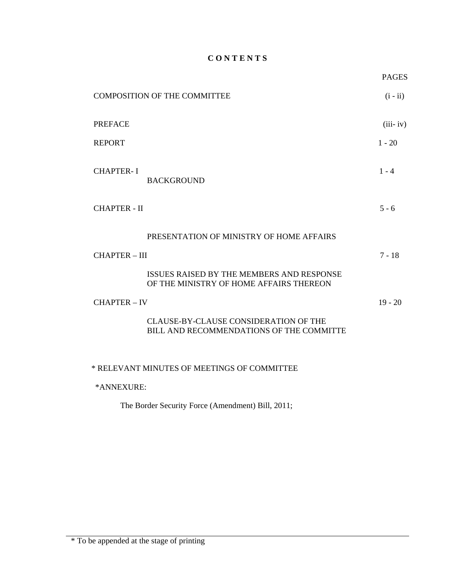#### **C O N T E N T S**

|                      | <b>COMPOSITION OF THE COMMITTEE</b>                                                  | $(i - ii)$ |
|----------------------|--------------------------------------------------------------------------------------|------------|
| <b>PREFACE</b>       |                                                                                      | $(iii-iv)$ |
| <b>REPORT</b>        |                                                                                      | $1 - 20$   |
| <b>CHAPTER-I</b>     | <b>BACKGROUND</b>                                                                    | $1 - 4$    |
| <b>CHAPTER - II</b>  |                                                                                      | $5 - 6$    |
|                      | PRESENTATION OF MINISTRY OF HOME AFFAIRS                                             |            |
| <b>CHAPTER - III</b> |                                                                                      | $7 - 18$   |
|                      | ISSUES RAISED BY THE MEMBERS AND RESPONSE<br>OF THE MINISTRY OF HOME AFFAIRS THEREON |            |
| <b>CHAPTER - IV</b>  |                                                                                      | $19 - 20$  |
|                      | CLAUSE-BY-CLAUSE CONSIDERATION OF THE<br>BILL AND RECOMMENDATIONS OF THE COMMITTE    |            |
|                      |                                                                                      |            |

\* RELEVANT MINUTES OF MEETINGS OF COMMITTEE

\*ANNEXURE:

The Border Security Force (Amendment) Bill, 2011;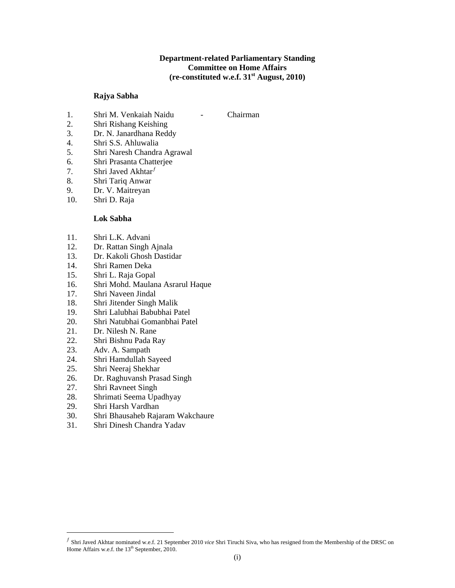#### **Department-related Parliamentary Standing Committee on Home Affairs (re-constituted w.e.f. 31st August, 2010)**

#### **Rajya Sabha**

- 1. Shri M. Venkaiah Naidu Chairman
- 2. Shri Rishang Keishing
- 3. Dr. N. Janardhana Reddy
- 4. Shri S.S. Ahluwalia
- 5. Shri Naresh Chandra Agrawal
- 6. Shri Prasanta Chatterjee
- 7. Shri Javed Akhtar $f$
- 8. Shri Tariq Anwar
- 9. Dr. V. Maitreyan
- 10. Shri D. Raja

#### **Lok Sabha**

- 11. Shri L.K. Advani
- 12. Dr. Rattan Singh Ajnala
- 13. Dr. Kakoli Ghosh Dastidar
- 14. Shri Ramen Deka
- 15. Shri L. Raja Gopal
- 16. Shri Mohd. Maulana Asrarul Haque
- 17. Shri Naveen Jindal
- 18. Shri Jitender Singh Malik
- 19. Shri Lalubhai Babubhai Patel
- 20. Shri Natubhai Gomanbhai Patel
- 21. Dr. Nilesh N. Rane
- 22. Shri Bishnu Pada Ray
- 23. Adv. A. Sampath
- 24. Shri Hamdullah Sayeed
- 25. Shri Neeraj Shekhar
- 26. Dr. Raghuvansh Prasad Singh
- 27. Shri Ravneet Singh
- 28. Shrimati Seema Upadhyay
- 29. Shri Harsh Vardhan

 $\overline{a}$ 

- 30. Shri Bhausaheb Rajaram Wakchaure
- 31. Shri Dinesh Chandra Yadav

<span id="page-3-0"></span><sup>ƒ</sup> Shri Javed Akhtar nominated w.e.f. 21 September 2010 *vice* Shri Tiruchi Siva, who has resigned from the Membership of the DRSC on Home Affairs w.e.f. the 13<sup>th</sup> September, 2010.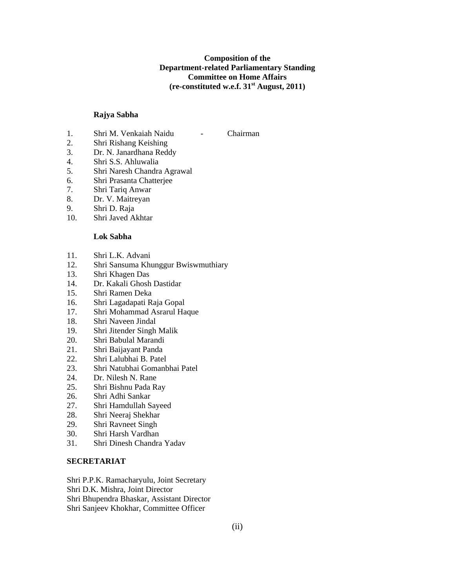#### **Composition of the Department-related Parliamentary Standing Committee on Home Affairs (re-constituted w.e.f. 31st August, 2011)**

#### **Rajya Sabha**

- 1. Shri M. Venkaiah Naidu Chairman
- 2. Shri Rishang Keishing
- 3. Dr. N. Janardhana Reddy
- 4. Shri S.S. Ahluwalia
- 5. Shri Naresh Chandra Agrawal
- 6. Shri Prasanta Chatterjee
- 7. Shri Tariq Anwar
- 8. Dr. V. Maitreyan
- 9. Shri D. Raja
- 10. Shri Javed Akhtar

#### **Lok Sabha**

- 11. Shri L.K. Advani
- 12. Shri Sansuma Khunggur Bwiswmuthiary
- 13. Shri Khagen Das
- 14. Dr. Kakali Ghosh Dastidar
- 15. Shri Ramen Deka
- 16. Shri Lagadapati Raja Gopal
- 17. Shri Mohammad Asrarul Haque
- 18. Shri Naveen Jindal
- 19. Shri Jitender Singh Malik
- 20. Shri Babulal Marandi
- 21. Shri Baijayant Panda
- 22. Shri Lalubhai B. Patel
- 23. Shri Natubhai Gomanbhai Patel
- 24. Dr. Nilesh N. Rane
- 25. Shri Bishnu Pada Ray
- 26. Shri Adhi Sankar
- 27. Shri Hamdullah Sayeed
- 28. Shri Neeraj Shekhar
- 29. Shri Ravneet Singh
- 30. Shri Harsh Vardhan
- 31. Shri Dinesh Chandra Yadav

#### **SECRETARIAT**

Shri P.P.K. Ramacharyulu, Joint Secretary Shri D.K. Mishra, Joint Director Shri Bhupendra Bhaskar, Assistant Director Shri Sanjeev Khokhar, Committee Officer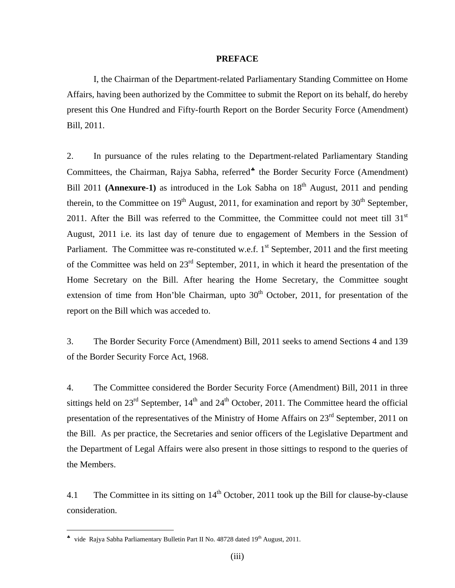#### **PREFACE**

 I, the Chairman of the Department-related Parliamentary Standing Committee on Home Affairs, having been authorized by the Committee to submit the Report on its behalf, do hereby present this One Hundred and Fifty-fourth Report on the Border Security Force (Amendment) Bill, 2011.

2. In pursuance of the rules relating to the Department-related Parliamentary Standing Committees, the Chairman, Rajya Sabha, referred<sup>\*</sup> the Border Security Force (Amendment) Bill 2011 **(Annexure-1)** as introduced in the Lok Sabha on 18<sup>th</sup> August, 2011 and pending therein, to the Committee on  $19<sup>th</sup>$  August, 2011, for examination and report by  $30<sup>th</sup>$  September, 2011. After the Bill was referred to the Committee, the Committee could not meet till  $31<sup>st</sup>$ August, 2011 i.e. its last day of tenure due to engagement of Members in the Session of Parliament. The Committee was re-constituted w.e.f.  $1<sup>st</sup>$  September, 2011 and the first meeting of the Committee was held on 23rd September, 2011, in which it heard the presentation of the Home Secretary on the Bill. After hearing the Home Secretary, the Committee sought extension of time from Hon'ble Chairman, upto  $30<sup>th</sup>$  October, 2011, for presentation of the report on the Bill which was acceded to.

3. The Border Security Force (Amendment) Bill, 2011 seeks to amend Sections 4 and 139 of the Border Security Force Act, 1968.

4. The Committee considered the Border Security Force (Amendment) Bill, 2011 in three sittings held on  $23^{\text{rd}}$  September,  $14^{\text{th}}$  and  $24^{\text{th}}$  October, 2011. The Committee heard the official presentation of the representatives of the Ministry of Home Affairs on 23<sup>rd</sup> September, 2011 on the Bill. As per practice, the Secretaries and senior officers of the Legislative Department and the Department of Legal Affairs were also present in those sittings to respond to the queries of the Members.

4.1 The Committee in its sitting on  $14<sup>th</sup>$  October, 2011 took up the Bill for clause-by-clause consideration.

 $\overline{a}$ 

<span id="page-5-0"></span><sup>♣</sup> vide Rajya Sabha Parliamentary Bulletin Part II No. 48728 dated 19th August, 2011.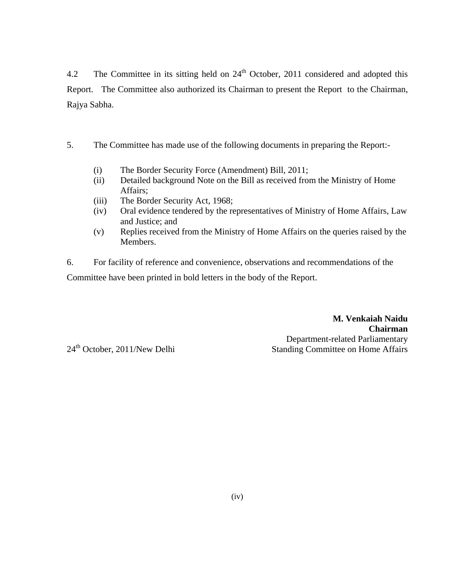4.2 The Committee in its sitting held on  $24<sup>th</sup>$  October, 2011 considered and adopted this Report. The Committee also authorized its Chairman to present the Report to the Chairman, Rajya Sabha.

- 5. The Committee has made use of the following documents in preparing the Report:-
	- (i) The Border Security Force (Amendment) Bill, 2011;
	- (ii) Detailed background Note on the Bill as received from the Ministry of Home Affairs;
	- (iii) The Border Security Act, 1968;
	- (iv) Oral evidence tendered by the representatives of Ministry of Home Affairs, Law and Justice; and
	- (v) Replies received from the Ministry of Home Affairs on the queries raised by the Members.

6. For facility of reference and convenience, observations and recommendations of the Committee have been printed in bold letters in the body of the Report.

> **M. Venkaiah Naidu Chairman** Department-related Parliamentary Standing Committee on Home Affairs

24<sup>th</sup> October, 2011/New Delhi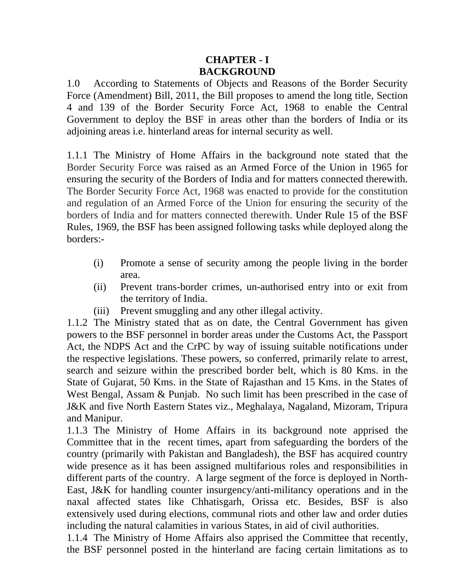## **CHAPTER - I BACKGROUND**

1.0 According to Statements of Objects and Reasons of the Border Security Force (Amendment) Bill, 2011, the Bill proposes to amend the long title, Section 4 and 139 of the Border Security Force Act, 1968 to enable the Central Government to deploy the BSF in areas other than the borders of India or its adjoining areas i.e. hinterland areas for internal security as well.

1.1.1 The Ministry of Home Affairs in the background note stated that the Border Security Force was raised as an Armed Force of the Union in 1965 for ensuring the security of the Borders of India and for matters connected therewith. The Border Security Force Act, 1968 was enacted to provide for the constitution and regulation of an Armed Force of the Union for ensuring the security of the borders of India and for matters connected therewith. Under Rule 15 of the BSF Rules, 1969, the BSF has been assigned following tasks while deployed along the borders:-

- (i) Promote a sense of security among the people living in the border area.
- (ii) Prevent trans-border crimes, un-authorised entry into or exit from the territory of India.
- (iii) Prevent smuggling and any other illegal activity.

1.1.2 The Ministry stated that as on date, the Central Government has given powers to the BSF personnel in border areas under the Customs Act, the Passport Act, the NDPS Act and the CrPC by way of issuing suitable notifications under the respective legislations. These powers, so conferred, primarily relate to arrest, search and seizure within the prescribed border belt, which is 80 Kms. in the State of Gujarat, 50 Kms. in the State of Rajasthan and 15 Kms. in the States of West Bengal, Assam & Punjab. No such limit has been prescribed in the case of J&K and five North Eastern States viz., Meghalaya, Nagaland, Mizoram, Tripura and Manipur.

1.1.3 The Ministry of Home Affairs in its background note apprised the Committee that in the recent times, apart from safeguarding the borders of the country (primarily with Pakistan and Bangladesh), the BSF has acquired country wide presence as it has been assigned multifarious roles and responsibilities in different parts of the country. A large segment of the force is deployed in North-East, J&K for handling counter insurgency/anti-militancy operations and in the naxal affected states like Chhatisgarh, Orissa etc. Besides, BSF is also extensively used during elections, communal riots and other law and order duties including the natural calamities in various States, in aid of civil authorities.

1.1.4 The Ministry of Home Affairs also apprised the Committee that recently, the BSF personnel posted in the hinterland are facing certain limitations as to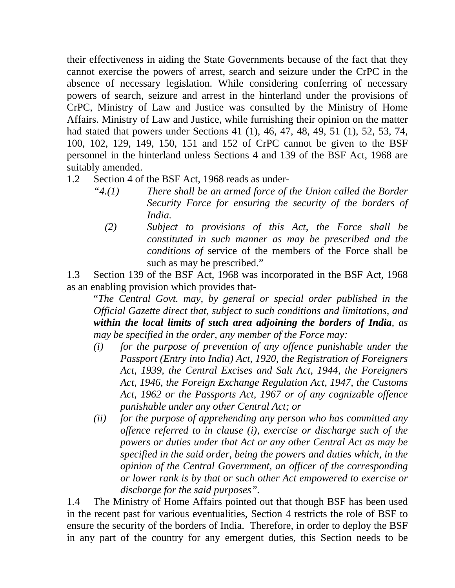their effectiveness in aiding the State Governments because of the fact that they cannot exercise the powers of arrest, search and seizure under the CrPC in the absence of necessary legislation. While considering conferring of necessary powers of search, seizure and arrest in the hinterland under the provisions of CrPC, Ministry of Law and Justice was consulted by the Ministry of Home Affairs. Ministry of Law and Justice, while furnishing their opinion on the matter had stated that powers under Sections 41 (1), 46, 47, 48, 49, 51 (1), 52, 53, 74, 100, 102, 129, 149, 150, 151 and 152 of CrPC cannot be given to the BSF personnel in the hinterland unless Sections 4 and 139 of the BSF Act, 1968 are suitably amended.

- 1.2 Section 4 of the BSF Act, 1968 reads as under-
	- *"4.(1) There shall be an armed force of the Union called the Border Security Force for ensuring the security of the borders of India.* 
		- *(2) Subject to provisions of this Act, the Force shall be constituted in such manner as may be prescribed and the conditions of* service of the members of the Force shall be such as may be prescribed."

1.3 Section 139 of the BSF Act, 1968 was incorporated in the BSF Act, 1968 as an enabling provision which provides that-

"*The Central Govt. may, by general or special order published in the Official Gazette direct that, subject to such conditions and limitations, and within the local limits of such area adjoining the borders of India, as may be specified in the order, any member of the Force may:* 

- *(i) for the purpose of prevention of any offence punishable under the Passport (Entry into India) Act, 1920, the Registration of Foreigners Act, 1939, the Central Excises and Salt Act, 1944, the Foreigners Act, 1946, the Foreign Exchange Regulation Act, 1947, the Customs Act, 1962 or the Passports Act, 1967 or of any cognizable offence punishable under any other Central Act; or*
- *(ii) for the purpose of apprehending any person who has committed any offence referred to in clause (i), exercise or discharge such of the powers or duties under that Act or any other Central Act as may be specified in the said order, being the powers and duties which, in the opinion of the Central Government, an officer of the corresponding or lower rank is by that or such other Act empowered to exercise or discharge for the said purposes".*

1.4 The Ministry of Home Affairs pointed out that though BSF has been used in the recent past for various eventualities, Section 4 restricts the role of BSF to ensure the security of the borders of India. Therefore, in order to deploy the BSF in any part of the country for any emergent duties, this Section needs to be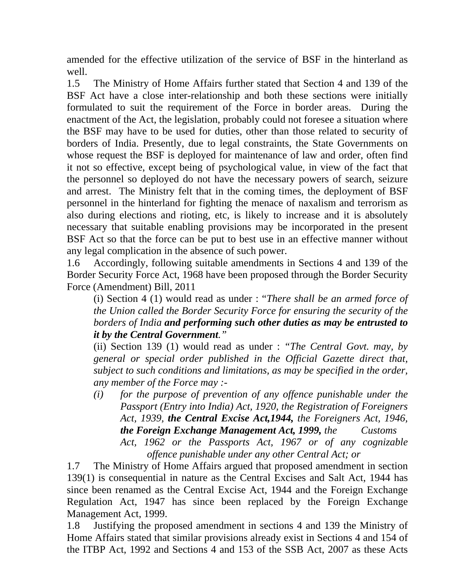amended for the effective utilization of the service of BSF in the hinterland as well.

1.5 The Ministry of Home Affairs further stated that Section 4 and 139 of the BSF Act have a close inter-relationship and both these sections were initially formulated to suit the requirement of the Force in border areas. During the enactment of the Act, the legislation, probably could not foresee a situation where the BSF may have to be used for duties, other than those related to security of borders of India. Presently, due to legal constraints, the State Governments on whose request the BSF is deployed for maintenance of law and order, often find it not so effective, except being of psychological value, in view of the fact that the personnel so deployed do not have the necessary powers of search, seizure and arrest. The Ministry felt that in the coming times, the deployment of BSF personnel in the hinterland for fighting the menace of naxalism and terrorism as also during elections and rioting, etc, is likely to increase and it is absolutely necessary that suitable enabling provisions may be incorporated in the present BSF Act so that the force can be put to best use in an effective manner without any legal complication in the absence of such power.

1.6 Accordingly, following suitable amendments in Sections 4 and 139 of the Border Security Force Act, 1968 have been proposed through the Border Security Force (Amendment) Bill, 2011

(i) Section 4 (1) would read as under : "*There shall be an armed force of the Union called the Border Security Force for ensuring the security of the borders of India and performing such other duties as may be entrusted to it by the Central Government."* 

(ii) Section 139 (1) would read as under : *"The Central Govt. may, by general or special order published in the Official Gazette direct that, subject to such conditions and limitations, as may be specified in the order, any member of the Force may :-* 

*(i) for the purpose of prevention of any offence punishable under the Passport (Entry into India) Act, 1920, the Registration of Foreigners Act, 1939, the Central Excise Act,1944, the Foreigners Act, 1946, the Foreign Exchange Management Act, 1999, the Customs Act, 1962 or the Passports Act, 1967 or of any cognizable offence punishable under any other Central Act; or* 

1.7 The Ministry of Home Affairs argued that proposed amendment in section 139(1) is consequential in nature as the Central Excises and Salt Act, 1944 has since been renamed as the Central Excise Act, 1944 and the Foreign Exchange Regulation Act, 1947 has since been replaced by the Foreign Exchange Management Act, 1999.

1.8 Justifying the proposed amendment in sections 4 and 139 the Ministry of Home Affairs stated that similar provisions already exist in Sections 4 and 154 of the ITBP Act, 1992 and Sections 4 and 153 of the SSB Act, 2007 as these Acts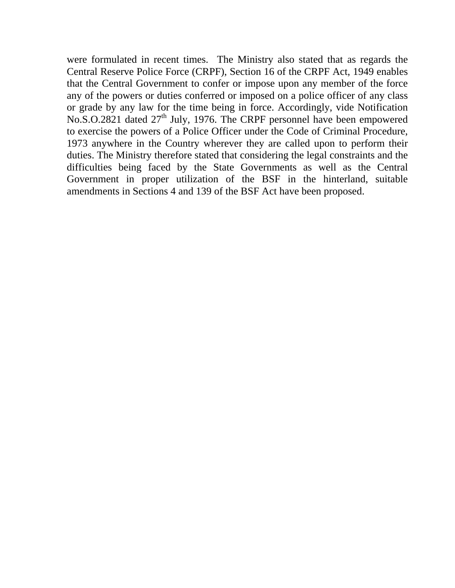were formulated in recent times. The Ministry also stated that as regards the Central Reserve Police Force (CRPF), Section 16 of the CRPF Act, 1949 enables that the Central Government to confer or impose upon any member of the force any of the powers or duties conferred or imposed on a police officer of any class or grade by any law for the time being in force. Accordingly, vide Notification No.S.O.2821 dated 27<sup>th</sup> July, 1976. The CRPF personnel have been empowered to exercise the powers of a Police Officer under the Code of Criminal Procedure, 1973 anywhere in the Country wherever they are called upon to perform their duties. The Ministry therefore stated that considering the legal constraints and the difficulties being faced by the State Governments as well as the Central Government in proper utilization of the BSF in the hinterland, suitable amendments in Sections 4 and 139 of the BSF Act have been proposed.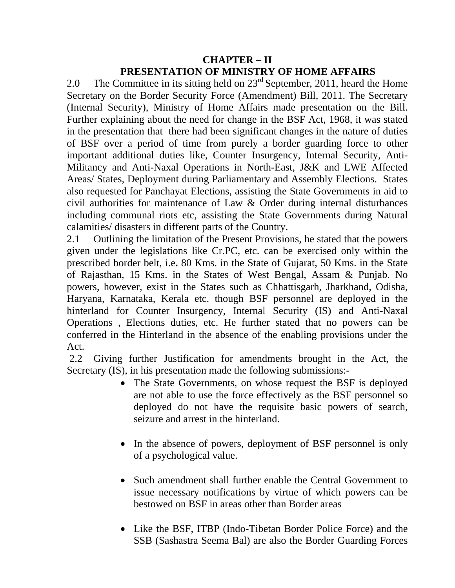## **CHAPTER – II PRESENTATION OF MINISTRY OF HOME AFFAIRS**

2.0 The Committee in its sitting held on  $23<sup>rd</sup>$  September, 2011, heard the Home Secretary on the Border Security Force (Amendment) Bill, 2011. The Secretary (Internal Security), Ministry of Home Affairs made presentation on the Bill. Further explaining about the need for change in the BSF Act, 1968, it was stated in the presentation that there had been significant changes in the nature of duties of BSF over a period of time from purely a border guarding force to other important additional duties like, Counter Insurgency, Internal Security, Anti-Militancy and Anti-Naxal Operations in North-East, J&K and LWE Affected Areas/ States, Deployment during Parliamentary and Assembly Elections. States also requested for Panchayat Elections, assisting the State Governments in aid to civil authorities for maintenance of Law & Order during internal disturbances including communal riots etc, assisting the State Governments during Natural calamities/ disasters in different parts of the Country.

2.1 Outlining the limitation of the Present Provisions, he stated that the powers given under the legislations like Cr.PC, etc. can be exercised only within the prescribed border belt, i.e**.** 80 Kms. in the State of Gujarat, 50 Kms. in the State of Rajasthan, 15 Kms. in the States of West Bengal, Assam & Punjab. No powers, however, exist in the States such as Chhattisgarh, Jharkhand, Odisha, Haryana, Karnataka, Kerala etc. though BSF personnel are deployed in the hinterland for Counter Insurgency, Internal Security (IS) and Anti-Naxal Operations , Elections duties, etc. He further stated that no powers can be conferred in the Hinterland in the absence of the enabling provisions under the Act.

 2.2 Giving further Justification for amendments brought in the Act, the Secretary (IS), in his presentation made the following submissions:-

- The State Governments, on whose request the BSF is deployed are not able to use the force effectively as the BSF personnel so deployed do not have the requisite basic powers of search, seizure and arrest in the hinterland.
- In the absence of powers, deployment of BSF personnel is only of a psychological value.
- Such amendment shall further enable the Central Government to issue necessary notifications by virtue of which powers can be bestowed on BSF in areas other than Border areas
- Like the BSF, ITBP (Indo-Tibetan Border Police Force) and the SSB (Sashastra Seema Bal) are also the Border Guarding Forces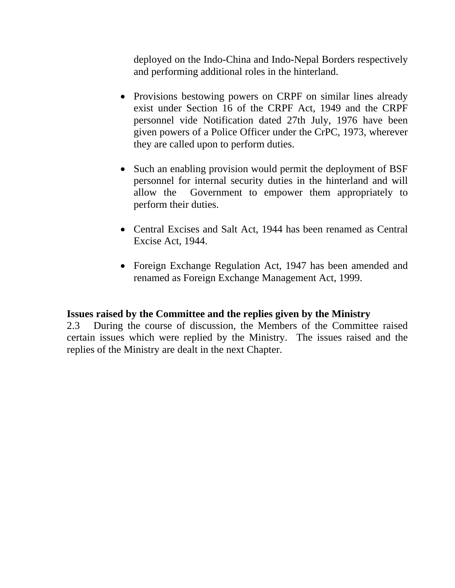deployed on the Indo-China and Indo-Nepal Borders respectively and performing additional roles in the hinterland.

- Provisions bestowing powers on CRPF on similar lines already exist under Section 16 of the CRPF Act, 1949 and the CRPF personnel vide Notification dated 27th July, 1976 have been given powers of a Police Officer under the CrPC, 1973, wherever they are called upon to perform duties.
- Such an enabling provision would permit the deployment of BSF personnel for internal security duties in the hinterland and will allow the Government to empower them appropriately to perform their duties.
- Central Excises and Salt Act, 1944 has been renamed as Central Excise Act, 1944.
- Foreign Exchange Regulation Act, 1947 has been amended and renamed as Foreign Exchange Management Act, 1999.

## **Issues raised by the Committee and the replies given by the Ministry**

2.3 During the course of discussion, the Members of the Committee raised certain issues which were replied by the Ministry. The issues raised and the replies of the Ministry are dealt in the next Chapter.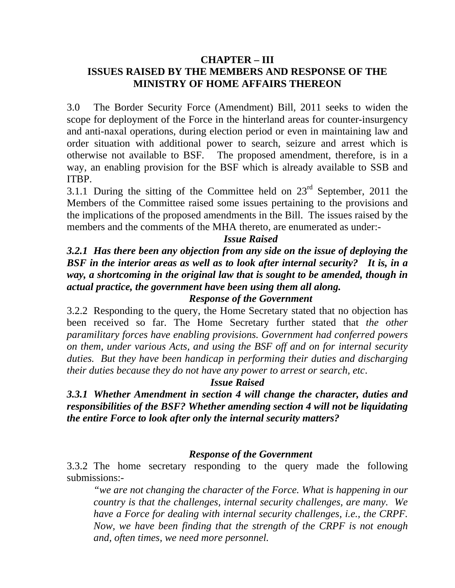## **CHAPTER – III ISSUES RAISED BY THE MEMBERS AND RESPONSE OF THE MINISTRY OF HOME AFFAIRS THEREON**

3.0 The Border Security Force (Amendment) Bill, 2011 seeks to widen the scope for deployment of the Force in the hinterland areas for counter-insurgency and anti-naxal operations, during election period or even in maintaining law and order situation with additional power to search, seizure and arrest which is otherwise not available to BSF. The proposed amendment, therefore, is in a way, an enabling provision for the BSF which is already available to SSB and ITBP.

3.1.1 During the sitting of the Committee held on  $23<sup>rd</sup>$  September, 2011 the Members of the Committee raised some issues pertaining to the provisions and the implications of the proposed amendments in the Bill. The issues raised by the members and the comments of the MHA thereto, are enumerated as under:-

## *Issue Raised*

*3.2.1 Has there been any objection from any side on the issue of deploying the BSF in the interior areas as well as to look after internal security? It is, in a way, a shortcoming in the original law that is sought to be amended, though in actual practice, the government have been using them all along.* 

#### *Response of the Government*

3.2.2 Responding to the query, the Home Secretary stated that no objection has been received so far. The Home Secretary further stated that *the other paramilitary forces have enabling provisions. Government had conferred powers on them, under various Acts, and using the BSF off and on for internal security duties. But they have been handicap in performing their duties and discharging their duties because they do not have any power to arrest or search, etc*.

#### *Issue Raised*

*3.3.1 Whether Amendment in section 4 will change the character, duties and responsibilities of the BSF? Whether amending section 4 will not be liquidating the entire Force to look after only the internal security matters?* 

#### *Response of the Government*

3.3.2 The home secretary responding to the query made the following submissions:-

*"we are not changing the character of the Force. What is happening in our country is that the challenges, internal security challenges, are many. We have a Force for dealing with internal security challenges, i.e., the CRPF. Now, we have been finding that the strength of the CRPF is not enough and, often times, we need more personnel.*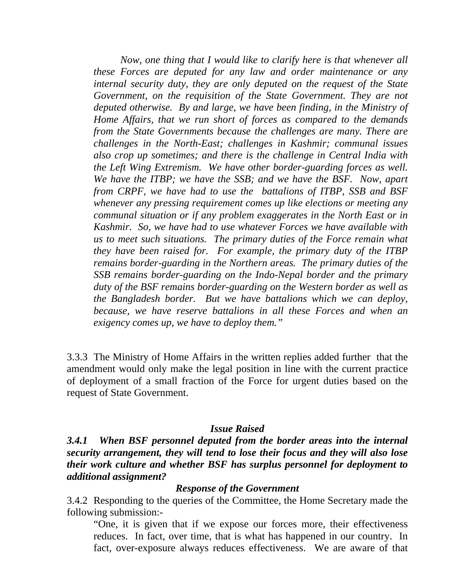*Now, one thing that I would like to clarify here is that whenever all these Forces are deputed for any law and order maintenance or any internal security duty, they are only deputed on the request of the State Government, on the requisition of the State Government. They are not deputed otherwise. By and large, we have been finding, in the Ministry of Home Affairs, that we run short of forces as compared to the demands from the State Governments because the challenges are many. There are challenges in the North-East; challenges in Kashmir; communal issues also crop up sometimes; and there is the challenge in Central India with the Left Wing Extremism. We have other border-guarding forces as well. We have the ITBP; we have the SSB; and we have the BSF. Now, apart from CRPF, we have had to use the battalions of ITBP, SSB and BSF whenever any pressing requirement comes up like elections or meeting any communal situation or if any problem exaggerates in the North East or in Kashmir. So, we have had to use whatever Forces we have available with us to meet such situations. The primary duties of the Force remain what they have been raised for. For example, the primary duty of the ITBP remains border-guarding in the Northern areas. The primary duties of the SSB remains border-guarding on the Indo-Nepal border and the primary duty of the BSF remains border-guarding on the Western border as well as the Bangladesh border. But we have battalions which we can deploy, because, we have reserve battalions in all these Forces and when an exigency comes up, we have to deploy them."* 

3.3.3 The Ministry of Home Affairs in the written replies added further that the amendment would only make the legal position in line with the current practice of deployment of a small fraction of the Force for urgent duties based on the request of State Government.

#### *Issue Raised*

*3.4.1 When BSF personnel deputed from the border areas into the internal security arrangement, they will tend to lose their focus and they will also lose their work culture and whether BSF has surplus personnel for deployment to additional assignment?* 

#### *Response of the Government*

3.4.2 Responding to the queries of the Committee, the Home Secretary made the following submission:-

"One, it is given that if we expose our forces more, their effectiveness reduces. In fact, over time, that is what has happened in our country. In fact, over-exposure always reduces effectiveness. We are aware of that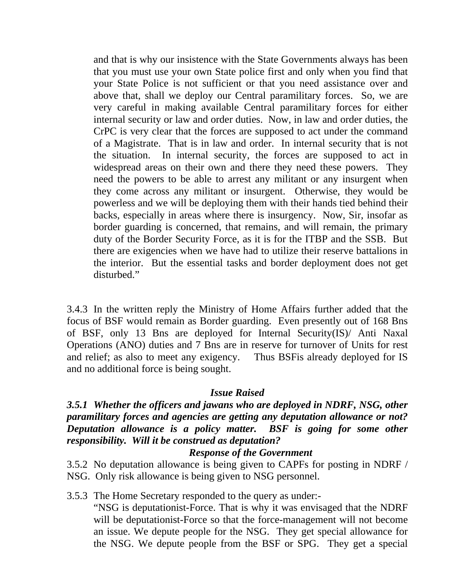and that is why our insistence with the State Governments always has been that you must use your own State police first and only when you find that your State Police is not sufficient or that you need assistance over and above that, shall we deploy our Central paramilitary forces. So, we are very careful in making available Central paramilitary forces for either internal security or law and order duties. Now, in law and order duties, the CrPC is very clear that the forces are supposed to act under the command of a Magistrate. That is in law and order. In internal security that is not the situation. In internal security, the forces are supposed to act in widespread areas on their own and there they need these powers. They need the powers to be able to arrest any militant or any insurgent when they come across any militant or insurgent. Otherwise, they would be powerless and we will be deploying them with their hands tied behind their backs, especially in areas where there is insurgency. Now, Sir, insofar as border guarding is concerned, that remains, and will remain, the primary duty of the Border Security Force, as it is for the ITBP and the SSB. But there are exigencies when we have had to utilize their reserve battalions in the interior. But the essential tasks and border deployment does not get disturbed."

3.4.3 In the written reply the Ministry of Home Affairs further added that the focus of BSF would remain as Border guarding. Even presently out of 168 Bns of BSF, only 13 Bns are deployed for Internal Security(IS)/ Anti Naxal Operations (ANO) duties and 7 Bns are in reserve for turnover of Units for rest and relief; as also to meet any exigency. Thus BSFis already deployed for IS and no additional force is being sought.

## *Issue Raised*

## *3.5.1 Whether the officers and jawans who are deployed in NDRF, NSG, other paramilitary forces and agencies are getting any deputation allowance or not? Deputation allowance is a policy matter. BSF is going for some other responsibility. Will it be construed as deputation?*

#### *Response of the Government*

3.5.2 No deputation allowance is being given to CAPFs for posting in NDRF / NSG. Only risk allowance is being given to NSG personnel.

## 3.5.3 The Home Secretary responded to the query as under:-

"NSG is deputationist-Force. That is why it was envisaged that the NDRF will be deputationist-Force so that the force-management will not become an issue. We depute people for the NSG. They get special allowance for the NSG. We depute people from the BSF or SPG. They get a special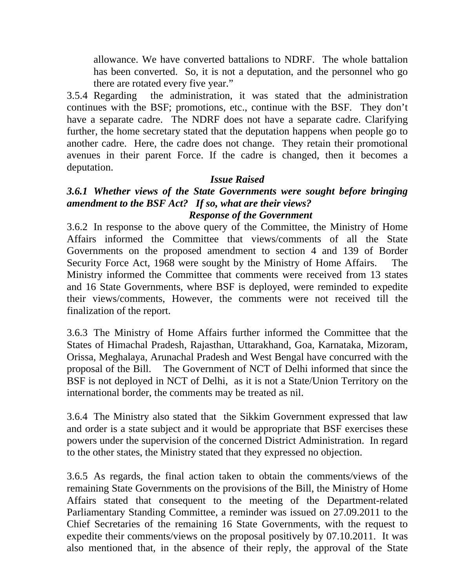allowance. We have converted battalions to NDRF. The whole battalion has been converted. So, it is not a deputation, and the personnel who go there are rotated every five year."

3.5.4 Regarding the administration, it was stated that the administration continues with the BSF; promotions, etc., continue with the BSF. They don't have a separate cadre. The NDRF does not have a separate cadre. Clarifying further, the home secretary stated that the deputation happens when people go to another cadre. Here, the cadre does not change. They retain their promotional avenues in their parent Force. If the cadre is changed, then it becomes a deputation.

## *Issue Raised*

## *3.6.1 Whether views of the State Governments were sought before bringing amendment to the BSF Act? If so, what are their views? Response of the Government*

3.6.2 In response to the above query of the Committee, the Ministry of Home Affairs informed the Committee that views/comments of all the State Governments on the proposed amendment to section 4 and 139 of Border Security Force Act, 1968 were sought by the Ministry of Home Affairs. The Ministry informed the Committee that comments were received from 13 states and 16 State Governments, where BSF is deployed, were reminded to expedite their views/comments, However, the comments were not received till the finalization of the report.

3.6.3 The Ministry of Home Affairs further informed the Committee that the States of Himachal Pradesh, Rajasthan, Uttarakhand, Goa, Karnataka, Mizoram, Orissa, Meghalaya, Arunachal Pradesh and West Bengal have concurred with the proposal of the Bill. The Government of NCT of Delhi informed that since the BSF is not deployed in NCT of Delhi, as it is not a State/Union Territory on the international border, the comments may be treated as nil.

3.6.4 The Ministry also stated that the Sikkim Government expressed that law and order is a state subject and it would be appropriate that BSF exercises these powers under the supervision of the concerned District Administration. In regard to the other states, the Ministry stated that they expressed no objection.

3.6.5 As regards, the final action taken to obtain the comments/views of the remaining State Governments on the provisions of the Bill, the Ministry of Home Affairs stated that consequent to the meeting of the Department-related Parliamentary Standing Committee, a reminder was issued on 27.09.2011 to the Chief Secretaries of the remaining 16 State Governments, with the request to expedite their comments/views on the proposal positively by 07.10.2011. It was also mentioned that, in the absence of their reply, the approval of the State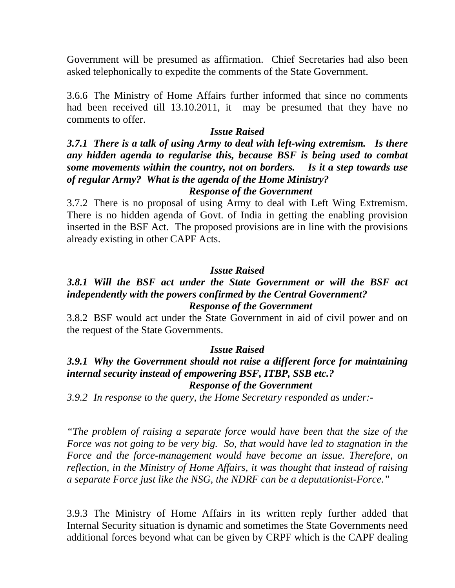Government will be presumed as affirmation. Chief Secretaries had also been asked telephonically to expedite the comments of the State Government.

3.6.6 The Ministry of Home Affairs further informed that since no comments had been received till 13.10.2011, it may be presumed that they have no comments to offer.

#### *Issue Raised*

## *3.7.1 There is a talk of using Army to deal with left-wing extremism. Is there any hidden agenda to regularise this, because BSF is being used to combat some movements within the country, not on borders. Is it a step towards use of regular Army? What is the agenda of the Home Ministry? Response of the Government*

3.7.2 There is no proposal of using Army to deal with Left Wing Extremism. There is no hidden agenda of Govt. of India in getting the enabling provision inserted in the BSF Act. The proposed provisions are in line with the provisions already existing in other CAPF Acts.

## *Issue Raised*

## *3.8.1 Will the BSF act under the State Government or will the BSF act independently with the powers confirmed by the Central Government? Response of the Government*

3.8.2 BSF would act under the State Government in aid of civil power and on the request of the State Governments.

#### *Issue Raised*

## *3.9.1 Why the Government should not raise a different force for maintaining internal security instead of empowering BSF, ITBP, SSB etc.? Response of the Government*

*3.9.2 In response to the query, the Home Secretary responded as under:-* 

*"The problem of raising a separate force would have been that the size of the Force was not going to be very big. So, that would have led to stagnation in the Force and the force-management would have become an issue. Therefore, on reflection, in the Ministry of Home Affairs, it was thought that instead of raising a separate Force just like the NSG, the NDRF can be a deputationist-Force."* 

3.9.3 The Ministry of Home Affairs in its written reply further added that Internal Security situation is dynamic and sometimes the State Governments need additional forces beyond what can be given by CRPF which is the CAPF dealing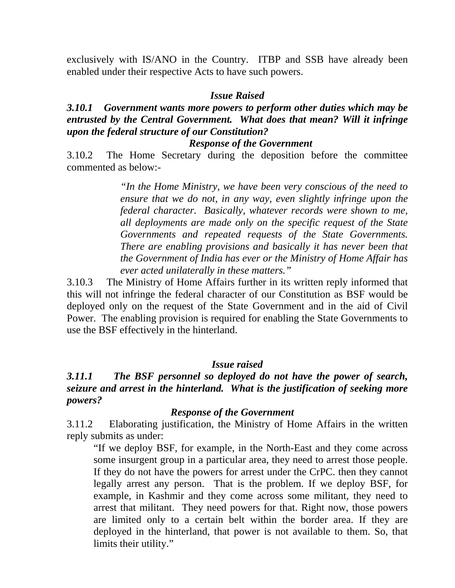exclusively with IS/ANO in the Country. ITBP and SSB have already been enabled under their respective Acts to have such powers.

#### *Issue Raised*

## *3.10.1 Government wants more powers to perform other duties which may be entrusted by the Central Government. What does that mean? Will it infringe upon the federal structure of our Constitution?*

#### *Response of the Government*

3.10.2 The Home Secretary during the deposition before the committee commented as below:-

> *"In the Home Ministry, we have been very conscious of the need to ensure that we do not, in any way, even slightly infringe upon the federal character. Basically, whatever records were shown to me, all deployments are made only on the specific request of the State Governments and repeated requests of the State Governments. There are enabling provisions and basically it has never been that the Government of India has ever or the Ministry of Home Affair has ever acted unilaterally in these matters."*

3.10.3 The Ministry of Home Affairs further in its written reply informed that this will not infringe the federal character of our Constitution as BSF would be deployed only on the request of the State Government and in the aid of Civil Power. The enabling provision is required for enabling the State Governments to use the BSF effectively in the hinterland.

#### *Issue raised*

## *3.11.1 The BSF personnel so deployed do not have the power of search, seizure and arrest in the hinterland. What is the justification of seeking more powers?*

#### *Response of the Government*

3.11.2 Elaborating justification, the Ministry of Home Affairs in the written reply submits as under:

"If we deploy BSF, for example, in the North-East and they come across some insurgent group in a particular area, they need to arrest those people. If they do not have the powers for arrest under the CrPC. then they cannot legally arrest any person. That is the problem. If we deploy BSF, for example, in Kashmir and they come across some militant, they need to arrest that militant. They need powers for that. Right now, those powers are limited only to a certain belt within the border area. If they are deployed in the hinterland, that power is not available to them. So, that limits their utility."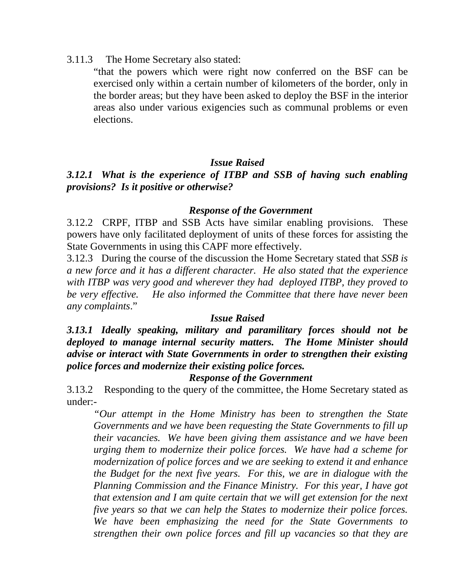3.11.3 The Home Secretary also stated:

"that the powers which were right now conferred on the BSF can be exercised only within a certain number of kilometers of the border, only in the border areas; but they have been asked to deploy the BSF in the interior areas also under various exigencies such as communal problems or even elections.

## *Issue Raised*

## *3.12.1 What is the experience of ITBP and SSB of having such enabling provisions? Is it positive or otherwise?*

## *Response of the Government*

3.12.2 CRPF, ITBP and SSB Acts have similar enabling provisions. These powers have only facilitated deployment of units of these forces for assisting the State Governments in using this CAPF more effectively.

3.12.3 During the course of the discussion the Home Secretary stated that *SSB is a new force and it has a different character. He also stated that the experience with ITBP was very good and wherever they had deployed ITBP, they proved to be very effective. He also informed the Committee that there have never been any complaints*."

#### *Issue Raised*

*3.13.1 Ideally speaking, military and paramilitary forces should not be deployed to manage internal security matters. The Home Minister should advise or interact with State Governments in order to strengthen their existing police forces and modernize their existing police forces.* 

## *Response of the Government*

3.13.2 Responding to the query of the committee, the Home Secretary stated as under:-

*"Our attempt in the Home Ministry has been to strengthen the State Governments and we have been requesting the State Governments to fill up their vacancies. We have been giving them assistance and we have been urging them to modernize their police forces. We have had a scheme for modernization of police forces and we are seeking to extend it and enhance the Budget for the next five years. For this, we are in dialogue with the Planning Commission and the Finance Ministry. For this year, I have got that extension and I am quite certain that we will get extension for the next five years so that we can help the States to modernize their police forces. We have been emphasizing the need for the State Governments to strengthen their own police forces and fill up vacancies so that they are*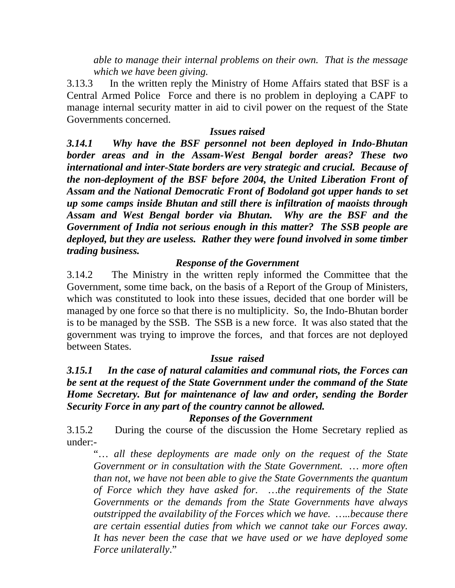*able to manage their internal problems on their own. That is the message which we have been giving.* 

3.13.3 In the written reply the Ministry of Home Affairs stated that BSF is a Central Armed Police Force and there is no problem in deploying a CAPF to manage internal security matter in aid to civil power on the request of the State Governments concerned.

## *Issues raised*

*3.14.1 Why have the BSF personnel not been deployed in Indo-Bhutan border areas and in the Assam-West Bengal border areas? These two international and inter-State borders are very strategic and crucial. Because of the non-deployment of the BSF before 2004, the United Liberation Front of Assam and the National Democratic Front of Bodoland got upper hands to set up some camps inside Bhutan and still there is infiltration of maoists through Assam and West Bengal border via Bhutan. Why are the BSF and the Government of India not serious enough in this matter? The SSB people are deployed, but they are useless. Rather they were found involved in some timber trading business.* 

## *Response of the Government*

3.14.2 The Ministry in the written reply informed the Committee that the Government, some time back, on the basis of a Report of the Group of Ministers, which was constituted to look into these issues, decided that one border will be managed by one force so that there is no multiplicity. So, the Indo-Bhutan border is to be managed by the SSB. The SSB is a new force. It was also stated that the government was trying to improve the forces, and that forces are not deployed between States.

## *Issue raised*

## *3.15.1 In the case of natural calamities and communal riots, the Forces can be sent at the request of the State Government under the command of the State Home Secretary. But for maintenance of law and order, sending the Border Security Force in any part of the country cannot be allowed.*

#### *Reponses of the Government*

3.15.2 During the course of the discussion the Home Secretary replied as under:-

"… *all these deployments are made only on the request of the State Government or in consultation with the State Government. … more often than not, we have not been able to give the State Governments the quantum of Force which they have asked for. …the requirements of the State Governments or the demands from the State Governments have always outstripped the availability of the Forces which we have. …..because there are certain essential duties from which we cannot take our Forces away. It has never been the case that we have used or we have deployed some Force unilaterally*."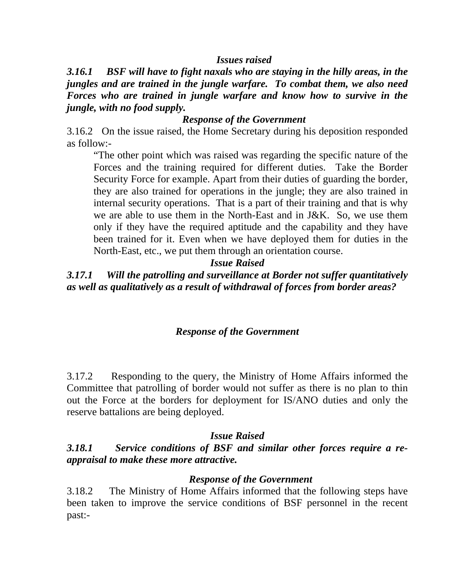## *Issues raised*

*3.16.1 BSF will have to fight naxals who are staying in the hilly areas, in the jungles and are trained in the jungle warfare. To combat them, we also need Forces who are trained in jungle warfare and know how to survive in the jungle, with no food supply.* 

## *Response of the Government*

3.16.2 On the issue raised, the Home Secretary during his deposition responded as follow:-

"The other point which was raised was regarding the specific nature of the Forces and the training required for different duties. Take the Border Security Force for example. Apart from their duties of guarding the border, they are also trained for operations in the jungle; they are also trained in internal security operations. That is a part of their training and that is why we are able to use them in the North-East and in J&K. So, we use them only if they have the required aptitude and the capability and they have been trained for it. Even when we have deployed them for duties in the North-East, etc., we put them through an orientation course.

## *Issue Raised*

*3.17.1 Will the patrolling and surveillance at Border not suffer quantitatively as well as qualitatively as a result of withdrawal of forces from border areas?* 

## *Response of the Government*

3.17.2 Responding to the query, the Ministry of Home Affairs informed the Committee that patrolling of border would not suffer as there is no plan to thin out the Force at the borders for deployment for IS/ANO duties and only the reserve battalions are being deployed.

#### *Issue Raised*

*3.18.1 Service conditions of BSF and similar other forces require a reappraisal to make these more attractive.* 

## *Response of the Government*

3.18.2 The Ministry of Home Affairs informed that the following steps have been taken to improve the service conditions of BSF personnel in the recent past:-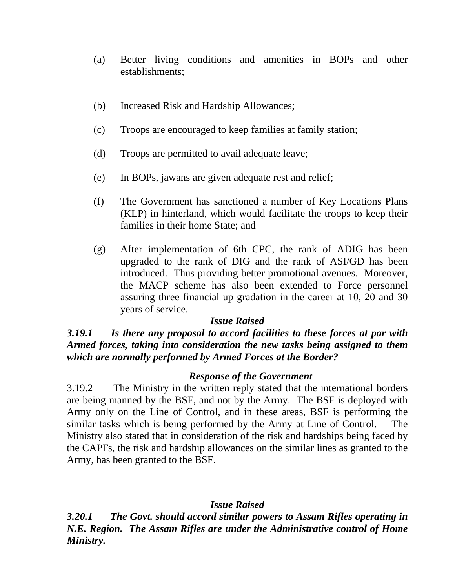- (a) Better living conditions and amenities in BOPs and other establishments;
- (b) Increased Risk and Hardship Allowances;
- (c) Troops are encouraged to keep families at family station;
- (d) Troops are permitted to avail adequate leave;
- (e) In BOPs, jawans are given adequate rest and relief;
- (f) The Government has sanctioned a number of Key Locations Plans (KLP) in hinterland, which would facilitate the troops to keep their families in their home State; and
- (g) After implementation of 6th CPC, the rank of ADIG has been upgraded to the rank of DIG and the rank of ASI/GD has been introduced. Thus providing better promotional avenues. Moreover, the MACP scheme has also been extended to Force personnel assuring three financial up gradation in the career at 10, 20 and 30 years of service.

## *Issue Raised*

## *3.19.1 Is there any proposal to accord facilities to these forces at par with Armed forces, taking into consideration the new tasks being assigned to them which are normally performed by Armed Forces at the Border?*

## *Response of the Government*

3.19.2 The Ministry in the written reply stated that the international borders are being manned by the BSF, and not by the Army. The BSF is deployed with Army only on the Line of Control, and in these areas, BSF is performing the similar tasks which is being performed by the Army at Line of Control. The Ministry also stated that in consideration of the risk and hardships being faced by the CAPFs, the risk and hardship allowances on the similar lines as granted to the Army, has been granted to the BSF.

## *Issue Raised*

*3.20.1 The Govt. should accord similar powers to Assam Rifles operating in N.E. Region. The Assam Rifles are under the Administrative control of Home Ministry.*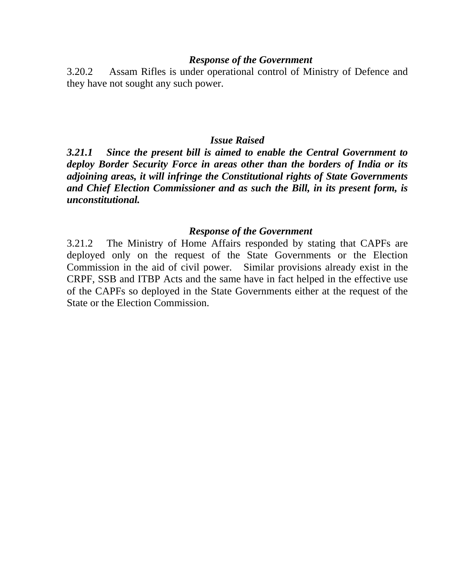#### *Response of the Government*

3.20.2 Assam Rifles is under operational control of Ministry of Defence and they have not sought any such power.

#### *Issue Raised*

*3.21.1 Since the present bill is aimed to enable the Central Government to deploy Border Security Force in areas other than the borders of India or its adjoining areas, it will infringe the Constitutional rights of State Governments and Chief Election Commissioner and as such the Bill, in its present form, is unconstitutional.* 

#### *Response of the Government*

3.21.2 The Ministry of Home Affairs responded by stating that CAPFs are deployed only on the request of the State Governments or the Election Commission in the aid of civil power. Similar provisions already exist in the CRPF, SSB and ITBP Acts and the same have in fact helped in the effective use of the CAPFs so deployed in the State Governments either at the request of the State or the Election Commission.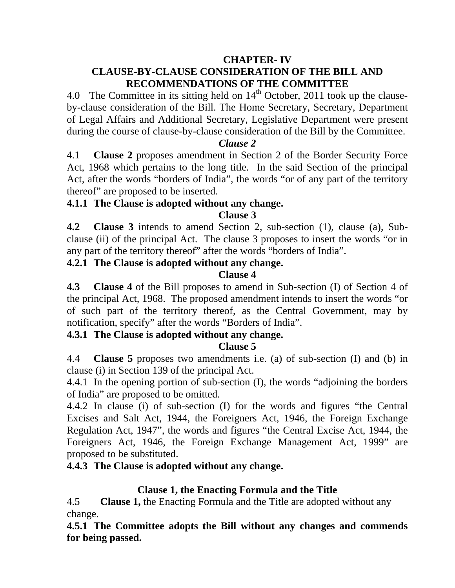## **CHAPTER- IV CLAUSE-BY-CLAUSE CONSIDERATION OF THE BILL AND RECOMMENDATIONS OF THE COMMITTEE**

4.0 The Committee in its sitting held on  $14<sup>th</sup>$  October, 2011 took up the clauseby-clause consideration of the Bill. The Home Secretary, Secretary, Department of Legal Affairs and Additional Secretary, Legislative Department were present during the course of clause-by-clause consideration of the Bill by the Committee.

## *Clause 2*

4.1 **Clause 2** proposes amendment in Section 2 of the Border Security Force Act, 1968 which pertains to the long title. In the said Section of the principal Act, after the words "borders of India", the words "or of any part of the territory thereof" are proposed to be inserted.

## **4.1.1 The Clause is adopted without any change.**

## **Clause 3**

**4.2 Clause 3** intends to amend Section 2, sub-section (1), clause (a), Subclause (ii) of the principal Act. The clause 3 proposes to insert the words "or in any part of the territory thereof" after the words "borders of India".

## **4.2.1 The Clause is adopted without any change.**

## **Clause 4**

**4.3 Clause 4** of the Bill proposes to amend in Sub-section (I) of Section 4 of the principal Act, 1968. The proposed amendment intends to insert the words "or of such part of the territory thereof, as the Central Government, may by notification, specify" after the words "Borders of India".

## **4.3.1 The Clause is adopted without any change.**

## **Clause 5**

4.4 **Clause 5** proposes two amendments i.e. (a) of sub-section (I) and (b) in clause (i) in Section 139 of the principal Act.

4.4.1 In the opening portion of sub-section (I), the words "adjoining the borders of India" are proposed to be omitted.

4.4.2 In clause (i) of sub-section (I) for the words and figures "the Central Excises and Salt Act, 1944, the Foreigners Act, 1946, the Foreign Exchange Regulation Act, 1947", the words and figures "the Central Excise Act, 1944, the Foreigners Act, 1946, the Foreign Exchange Management Act, 1999" are proposed to be substituted.

## **4.4.3 The Clause is adopted without any change.**

## **Clause 1, the Enacting Formula and the Title**

4.5 **Clause 1,** the Enacting Formula and the Title are adopted without any change.

**4.5.1 The Committee adopts the Bill without any changes and commends for being passed.**